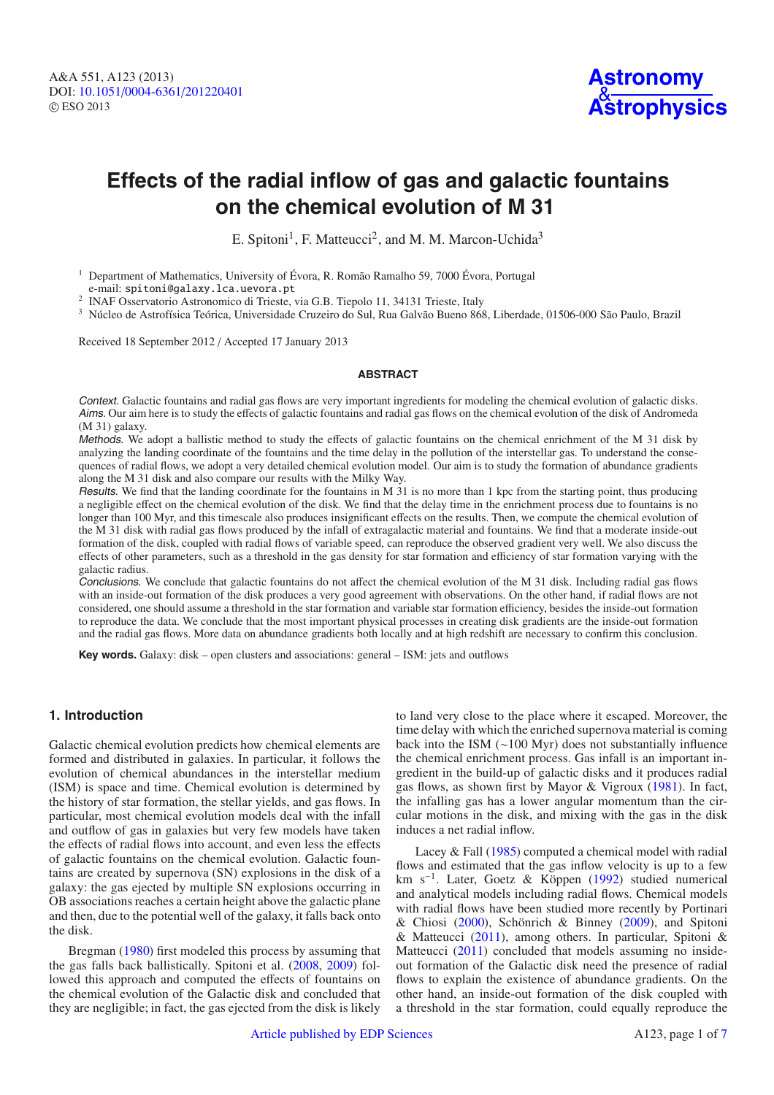

# **Effects of the radial inflow of gas and galactic fountains on the chemical evolution of M 31**

E. Spitoni<sup>1</sup>, F. Matteucci<sup>2</sup>, and M. M. Marcon-Uchida<sup>3</sup>

<sup>1</sup> Department of Mathematics, University of Évora, R. Romão Ramalho 59, 7000 Évora, Portugal e-mail: spitoni@galaxy.lca.uevora.pt<br><sup>2</sup> INAF Osservatorio Astronomico di Trieste, via G.B. Tiepolo 11, 34131 Trieste, Italy

<sup>3</sup> Núcleo de Astrofísica Teórica, Universidade Cruzeiro do Sul, Rua Galvão Bueno 868, Liberdade, 01506-000 São Paulo, Brazil

Received 18 September 2012 / Accepted 17 January 2013

#### **ABSTRACT**

Context. Galactic fountains and radial gas flows are very important ingredients for modeling the chemical evolution of galactic disks. Aims. Our aim here is to study the effects of galactic fountains and radial gas flows on the chemical evolution of the disk of Andromeda (M 31) galaxy.

Methods. We adopt a ballistic method to study the effects of galactic fountains on the chemical enrichment of the M 31 disk by analyzing the landing coordinate of the fountains and the time delay in the pollution of the interstellar gas. To understand the consequences of radial flows, we adopt a very detailed chemical evolution model. Our aim is to study the formation of abundance gradients along the M 31 disk and also compare our results with the Milky Way.

Results. We find that the landing coordinate for the fountains in M 31 is no more than 1 kpc from the starting point, thus producing a negligible effect on the chemical evolution of the disk. We find that the delay time in the enrichment process due to fountains is no longer than 100 Myr, and this timescale also produces insignificant effects on the results. Then, we compute the chemical evolution of the M 31 disk with radial gas flows produced by the infall of extragalactic material and fountains. We find that a moderate inside-out formation of the disk, coupled with radial flows of variable speed, can reproduce the observed gradient very well. We also discuss the effects of other parameters, such as a threshold in the gas density for star formation and efficiency of star formation varying with the galactic radius.

Conclusions. We conclude that galactic fountains do not affect the chemical evolution of the M 31 disk. Including radial gas flows with an inside-out formation of the disk produces a very good agreement with observations. On the other hand, if radial flows are not considered, one should assume a threshold in the star formation and variable star formation efficiency, besides the inside-out formation to reproduce the data. We conclude that the most important physical processes in creating disk gradients are the inside-out formation and the radial gas flows. More data on abundance gradients both locally and at high redshift are necessary to confirm this conclusion.

**Key words.** Galaxy: disk – open clusters and associations: general – ISM: jets and outflows

## **1. Introduction**

Galactic chemical evolution predicts how chemical elements are formed and distributed in galaxies. In particular, it follows the evolution of chemical abundances in the interstellar medium (ISM) is space and time. Chemical evolution is determined by the history of star formation, the stellar yields, and gas flows. In particular, most chemical evolution models deal with the infall and outflow of gas in galaxies but very few models have taken the effects of radial flows into account, and even less the effects of galactic fountains on the chemical evolution. Galactic fountains are created by supernova (SN) explosions in the disk of a galaxy: the gas ejected by multiple SN explosions occurring in OB associations reaches a certain height above the galactic plane and then, due to the potential well of the galaxy, it falls back onto the disk.

Bregman [\(1980\)](#page-6-0) first modeled this process by assuming that the gas falls back ballistically. Spitoni et al. [\(2008,](#page-6-1) [2009\)](#page-6-2) followed this approach and computed the effects of fountains on the chemical evolution of the Galactic disk and concluded that they are negligible; in fact, the gas ejected from the disk is likely to land very close to the place where it escaped. Moreover, the time delay with which the enriched supernova material is coming back into the ISM (∼100 Myr) does not substantially influence the chemical enrichment process. Gas infall is an important ingredient in the build-up of galactic disks and it produces radial gas flows, as shown first by Mayor & Vigroux [\(1981\)](#page-6-3). In fact, the infalling gas has a lower angular momentum than the circular motions in the disk, and mixing with the gas in the disk induces a net radial inflow.

Lacey & Fall [\(1985\)](#page-6-4) computed a chemical model with radial flows and estimated that the gas inflow velocity is up to a few km s−1. Later, Goetz & Köppen [\(1992\)](#page-6-5) studied numerical and analytical models including radial flows. Chemical models with radial flows have been studied more recently by Portinari & Chiosi [\(2000\)](#page-6-6), Schönrich & Binney [\(2009\)](#page-6-7), and Spitoni & Matteucci [\(2011\)](#page-6-8), among others. In particular, Spitoni & Matteucci [\(2011\)](#page-6-8) concluded that models assuming no insideout formation of the Galactic disk need the presence of radial flows to explain the existence of abundance gradients. On the other hand, an inside-out formation of the disk coupled with a threshold in the star formation, could equally reproduce the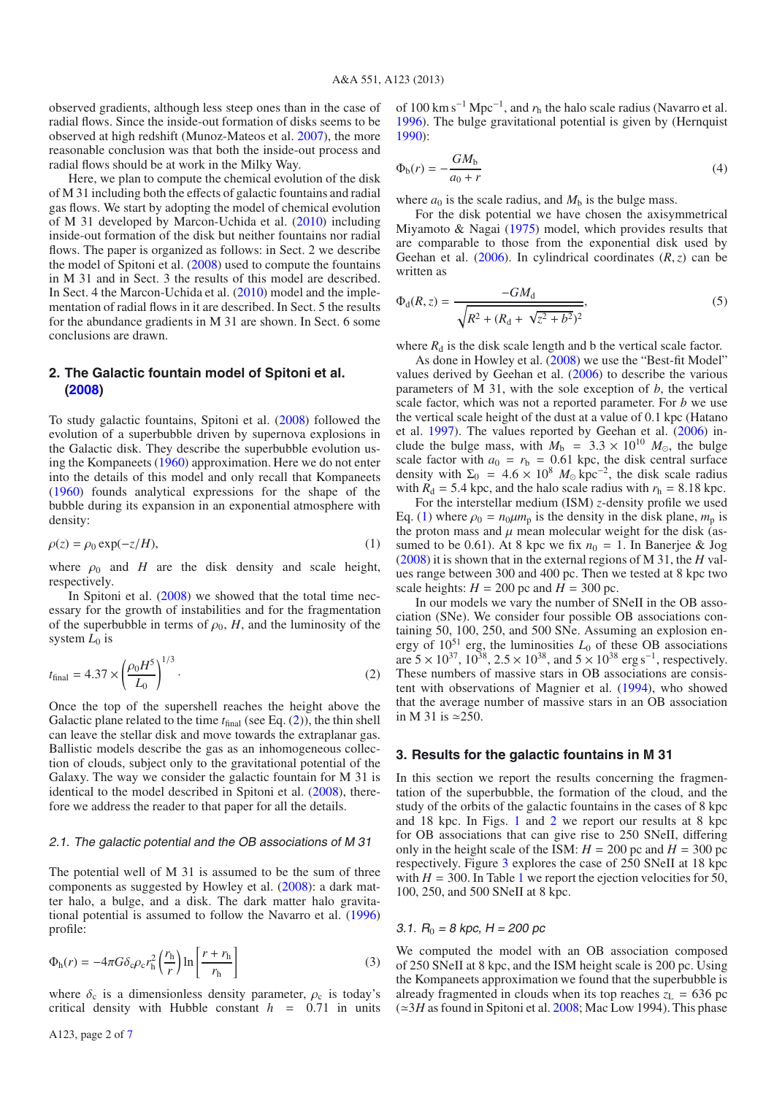observed gradients, although less steep ones than in the case of radial flows. Since the inside-out formation of disks seems to be observed at high redshift (Munoz-Mateos et al. [2007\)](#page-6-10), the more reasonable conclusion was that both the inside-out process and radial flows should be at work in the Milky Way.

Here, we plan to compute the chemical evolution of the disk of M 31 including both the effects of galactic fountains and radial gas flows. We start by adopting the model of chemical evolution of M 31 developed by Marcon-Uchida et al. [\(2010\)](#page-6-11) including inside-out formation of the disk but neither fountains nor radial flows. The paper is organized as follows: in Sect. 2 we describe the model of Spitoni et al. [\(2008\)](#page-6-1) used to compute the fountains in M 31 and in Sect. 3 the results of this model are described. In Sect. 4 the Marcon-Uchida et al. [\(2010\)](#page-6-11) model and the implementation of radial flows in it are described. In Sect. 5 the results for the abundance gradients in M 31 are shown. In Sect. 6 some conclusions are drawn.

# <span id="page-1-1"></span>**2. The Galactic fountain model of Spitoni et al. [\(2008\)](#page-6-1)**

<span id="page-1-0"></span>To study galactic fountains, Spitoni et al. [\(2008\)](#page-6-1) followed the evolution of a superbubble driven by supernova explosions in the Galactic disk. They describe the superbubble evolution using the Kompaneets [\(1960\)](#page-6-12) approximation. Here we do not enter into the details of this model and only recall that Kompaneets [\(1960\)](#page-6-12) founds analytical expressions for the shape of the bubble during its expansion in an exponential atmosphere with density:

$$
\rho(z) = \rho_0 \exp(-z/H),\tag{1}
$$

where  $\rho_0$  and *H* are the disk density and scale height, respectively.

In Spitoni et al. [\(2008\)](#page-6-1) we showed that the total time necessary for the growth of instabilities and for the fragmentation of the superbubble in terms of  $\rho_0$ , *H*, and the luminosity of the system *L*<sub>0</sub> is

$$
t_{\text{final}} = 4.37 \times \left(\frac{\rho_0 H^5}{L_0}\right)^{1/3}.
$$
 (2)

Once the top of the supershell reaches the height above the Galactic plane related to the time  $t_{final}$  (see Eq.  $(2)$ ), the thin shell can leave the stellar disk and move towards the extraplanar gas. Ballistic models describe the gas as an inhomogeneous collection of clouds, subject only to the gravitational potential of the Galaxy. The way we consider the galactic fountain for M 31 is identical to the model described in Spitoni et al. [\(2008\)](#page-6-1), therefore we address the reader to that paper for all the details.

#### 2.1. The galactic potential and the OB associations of M 31

The potential well of M 31 is assumed to be the sum of three components as suggested by Howley et al. [\(2008\)](#page-6-13): a dark matter halo, a bulge, and a disk. The dark matter halo gravitational potential is assumed to follow the Navarro et al. [\(1996\)](#page-6-14) profile:

$$
\Phi_{\rm h}(r) = -4\pi G \delta_{\rm c} \rho_{\rm c} r_{\rm h}^2 \left(\frac{r_{\rm h}}{r}\right) \ln \left[\frac{r + r_{\rm h}}{r_{\rm h}}\right]
$$
\n(3)

where  $\delta_c$  is a dimensionless density parameter,  $\rho_c$  is today's critical density with Hubble constant  $h = 0.71$  in units

A123, page 2 of [7](#page-6-9)

of 100 km s−<sup>1</sup> Mpc−1, and *r*<sup>h</sup> the halo scale radius (Navarro et al. [1996\)](#page-6-14). The bulge gravitational potential is given by (Hernquist [1990\)](#page-6-15):

$$
\Phi_{b}(r) = -\frac{GM_{b}}{a_{0} + r} \tag{4}
$$

where  $a_0$  is the scale radius, and  $M_b$  is the bulge mass.

For the disk potential we have chosen the axisymmetrical Miyamoto & Nagai [\(1975\)](#page-6-16) model, which provides results that are comparable to those from the exponential disk used by Geehan et al. [\(2006\)](#page-6-17). In cylindrical coordinates (*R*,*z*) can be written as

$$
\Phi_{d}(R,z) = \frac{-GM_{d}}{\sqrt{R^{2} + (R_{d} + \sqrt{z^{2} + b^{2}})^{2}}},
$$
\n(5)

where  $R_d$  is the disk scale length and b the vertical scale factor.

As done in Howley et al. [\(2008\)](#page-6-13) we use the "Best-fit Model" values derived by Geehan et al. [\(2006\)](#page-6-17) to describe the various parameters of M 31, with the sole exception of *b*, the vertical scale factor, which was not a reported parameter. For *b* we use the vertical scale height of the dust at a value of 0.1 kpc (Hatano et al. [1997\)](#page-6-18). The values reported by Geehan et al. [\(2006\)](#page-6-17) include the bulge mass, with  $M_b = 3.3 \times 10^{10} M_{\odot}$ , the bulge scale factor with  $a_0 = r_b = 0.61$  kpc, the disk central surface density with  $\Sigma_0 = 4.6 \times 10^8$   $M_{\odot}$  kpc<sup>-2</sup>, the disk scale radius with  $R_d = 5.4$  kpc, and the halo scale radius with  $r_h = 8.18$  kpc.

For the interstellar medium (ISM) *z*-density profile we used Eq. [\(1\)](#page-1-1) where  $\rho_0 = n_0 \mu m_p$  is the density in the disk plane,  $m_p$  is the proton mass and  $\mu$  mean molecular weight for the disk (assumed to be 0.61). At 8 kpc we fix  $n_0 = 1$ . In Banerjee & Jog [\(2008\)](#page-6-19) it is shown that in the external regions of M 31, the *H* values range between 300 and 400 pc. Then we tested at 8 kpc two scale heights:  $H = 200$  pc and  $H = 300$  pc.

In our models we vary the number of SNeII in the OB association (SNe). We consider four possible OB associations containing 50, 100, 250, and 500 SNe. Assuming an explosion energy of  $10^{51}$  erg, the luminosities  $L_0$  of these OB associations are  $5 \times 10^{37}$ ,  $10^{38}$ ,  $2.5 \times 10^{38}$ , and  $5 \times 10^{38}$  erg s<sup>-1</sup>, respectively. These numbers of massive stars in OB associations are consistent with observations of Magnier et al. [\(1994\)](#page-6-20), who showed that the average number of massive stars in an OB association in M 31 is  $\simeq$  250.

#### **3. Results for the galactic fountains in M 31**

In this section we report the results concerning the fragmentation of the superbubble, the formation of the cloud, and the study of the orbits of the galactic fountains in the cases of 8 kpc and 18 kpc. In Figs. [1](#page-2-0) and [2](#page-2-1) we report our results at 8 kpc for OB associations that can give rise to 250 SNeII, differing only in the height scale of the ISM:  $H = 200$  pc and  $H = 300$  pc respectively. Figure [3](#page-2-2) explores the case of 250 SNeII at 18 kpc with  $H = 300$ . In Table [1](#page-2-3) we report the ejection velocities for 50, 100, 250, and 500 SNeII at 8 kpc.

## 3.1.  $R_0 = 8$  kpc, H = 200 pc

We computed the model with an OB association composed of 250 SNeII at 8 kpc, and the ISM height scale is 200 pc. Using the Kompaneets approximation we found that the superbubble is already fragmented in clouds when its top reaches  $z_L$  = 636 pc  $(\simeq 3H$  as found in Spitoni et al. [2008;](#page-6-1) Mac Low 1994). This phase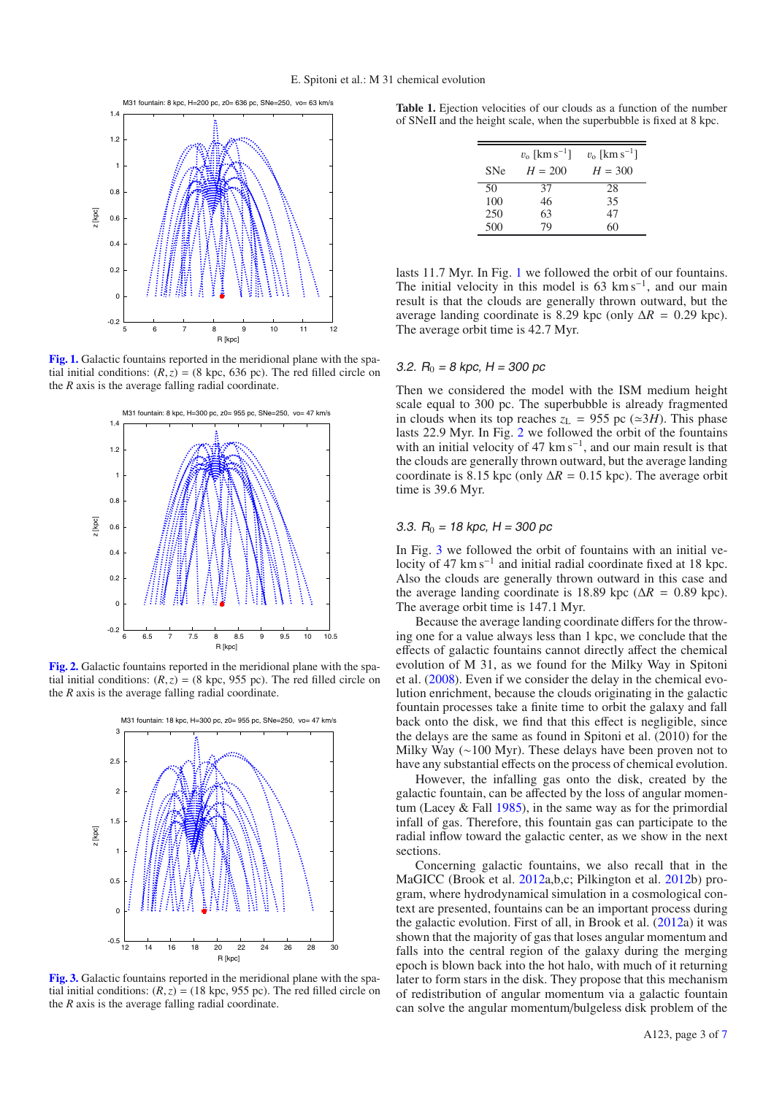<span id="page-2-0"></span>

**[Fig. 1.](http://dexter.edpsciences.org/applet.php?DOI=10.1051/0004-6361/201220401&pdf_id=1)** Galactic fountains reported in the meridional plane with the spatial initial conditions:  $(R, z) = (8 \text{ kpc}, 636 \text{ pc})$ . The red filled circle on the *R* axis is the average falling radial coordinate.

<span id="page-2-1"></span>

**[Fig. 2.](http://dexter.edpsciences.org/applet.php?DOI=10.1051/0004-6361/201220401&pdf_id=2)** Galactic fountains reported in the meridional plane with the spatial initial conditions:  $(R, z) = (8 \text{ kpc}, 955 \text{ pc})$ . The red filled circle on the *R* axis is the average falling radial coordinate.

<span id="page-2-2"></span>

**[Fig. 3.](http://dexter.edpsciences.org/applet.php?DOI=10.1051/0004-6361/201220401&pdf_id=3)** Galactic fountains reported in the meridional plane with the spatial initial conditions:  $(R, z) = (18 \text{ kpc}, 955 \text{ pc})$ . The red filled circle on the *R* axis is the average falling radial coordinate.

<span id="page-2-3"></span>**Table 1.** Ejection velocities of our clouds as a function of the number of SNeII and the height scale, when the superbubble is fixed at 8 kpc.

|            | $v_{o}$ [km s <sup>-1</sup> ] | $v_0$ [km s <sup>-1</sup> ] |
|------------|-------------------------------|-----------------------------|
| <b>SNe</b> | $H = 200$                     | $H = 300$                   |
| 50         | 37                            | 28                          |
| 100        | 46                            | 35                          |
| 250        | 63                            | 47                          |
| 500        | 79                            | 60                          |

lasts 11.7 Myr. In Fig. [1](#page-2-0) we followed the orbit of our fountains. The initial velocity in this model is  $63 \text{ km s}^{-1}$ , and our main result is that the clouds are generally thrown outward, but the average landing coordinate is 8.29 kpc (only  $\Delta R = 0.29$  kpc). The average orbit time is 42.7 Myr.

#### 3.2.  $R_0 = 8$  kpc, H = 300 pc

Then we considered the model with the ISM medium height scale equal to 300 pc. The superbubble is already fragmented in clouds when its top reaches  $z_L = 955$  pc ( $\approx 3H$ ). This phase lasts 22.9 Myr. In Fig. [2](#page-2-1) we followed the orbit of the fountains with an initial velocity of 47 km s<sup> $-1$ </sup>, and our main result is that the clouds are generally thrown outward, but the average landing coordinate is 8.15 kpc (only  $\Delta R = 0.15$  kpc). The average orbit time is 39.6 Myr.

#### 3.3.  $R_0 = 18$  kpc, H = 300 pc

In Fig. [3](#page-2-2) we followed the orbit of fountains with an initial velocity of 47 km s<sup> $-1$ </sup> and initial radial coordinate fixed at 18 kpc. Also the clouds are generally thrown outward in this case and the average landing coordinate is 18.89 kpc ( $\Delta R = 0.89$  kpc). The average orbit time is 147.1 Myr.

Because the average landing coordinate differs for the throwing one for a value always less than 1 kpc, we conclude that the effects of galactic fountains cannot directly affect the chemical evolution of M 31, as we found for the Milky Way in Spitoni et al. [\(2008\)](#page-6-1). Even if we consider the delay in the chemical evolution enrichment, because the clouds originating in the galactic fountain processes take a finite time to orbit the galaxy and fall back onto the disk, we find that this effect is negligible, since the delays are the same as found in Spitoni et al. (2010) for the Milky Way (∼100 Myr). These delays have been proven not to have any substantial effects on the process of chemical evolution.

However, the infalling gas onto the disk, created by the galactic fountain, can be affected by the loss of angular momentum (Lacey  $&$  Fall [1985\)](#page-6-4), in the same way as for the primordial infall of gas. Therefore, this fountain gas can participate to the radial inflow toward the galactic center, as we show in the next sections.

Concerning galactic fountains, we also recall that in the MaGICC (Brook et al. [2012a](#page-6-21),b,c; Pilkington et al. [2012b](#page-6-22)) program, where hydrodynamical simulation in a cosmological context are presented, fountains can be an important process during the galactic evolution. First of all, in Brook et al. [\(2012a](#page-6-21)) it was shown that the majority of gas that loses angular momentum and falls into the central region of the galaxy during the merging epoch is blown back into the hot halo, with much of it returning later to form stars in the disk. They propose that this mechanism of redistribution of angular momentum via a galactic fountain can solve the angular momentum/bulgeless disk problem of the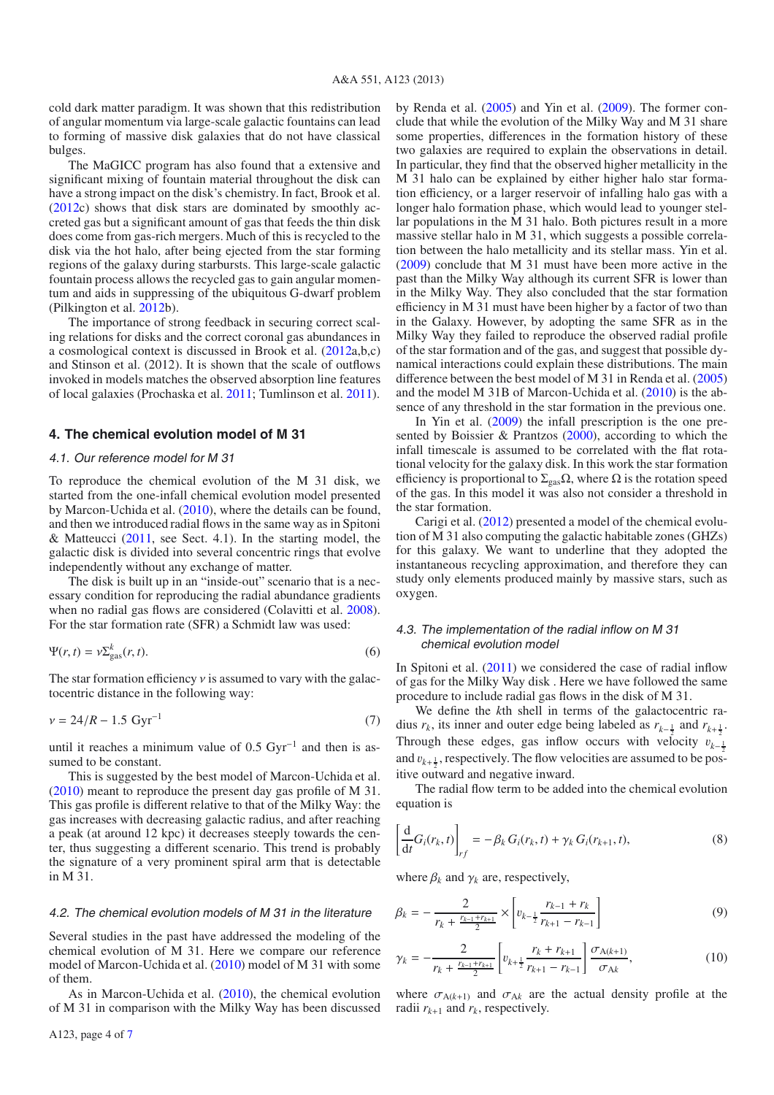cold dark matter paradigm. It was shown that this redistribution of angular momentum via large-scale galactic fountains can lead to forming of massive disk galaxies that do not have classical bulges.

The MaGICC program has also found that a extensive and significant mixing of fountain material throughout the disk can have a strong impact on the disk's chemistry. In fact, Brook et al. [\(2012c](#page-6-23)) shows that disk stars are dominated by smoothly accreted gas but a significant amount of gas that feeds the thin disk does come from gas-rich mergers. Much of this is recycled to the disk via the hot halo, after being ejected from the star forming regions of the galaxy during starbursts. This large-scale galactic fountain process allows the recycled gas to gain angular momentum and aids in suppressing of the ubiquitous G-dwarf problem (Pilkington et al. [2012b](#page-6-22)).

The importance of strong feedback in securing correct scaling relations for disks and the correct coronal gas abundances in a cosmological context is discussed in Brook et al. [\(2012a](#page-6-21),b,c) and Stinson et al. (2012). It is shown that the scale of outflows invoked in models matches the observed absorption line features of local galaxies (Prochaska et al. [2011;](#page-6-24) Tumlinson et al. [2011\)](#page-6-25).

## **4. The chemical evolution model of M 31**

#### 4.1. Our reference model for M 31

To reproduce the chemical evolution of the M 31 disk, we started from the one-infall chemical evolution model presented by Marcon-Uchida et al. [\(2010\)](#page-6-11), where the details can be found, and then we introduced radial flows in the same way as in Spitoni & Matteucci  $(2011,$  see Sect. 4.1). In the starting model, the galactic disk is divided into several concentric rings that evolve independently without any exchange of matter.

The disk is built up in an "inside-out" scenario that is a necessary condition for reproducing the radial abundance gradients when no radial gas flows are considered (Colavitti et al. [2008\)](#page-6-26). For the star formation rate (SFR) a Schmidt law was used:

$$
\Psi(r,t) = \nu \Sigma_{\rm gas}^k(r,t). \tag{6}
$$

The star formation efficiency  $\nu$  is assumed to vary with the galactocentric distance in the following way:

$$
v = 24/R - 1.5 \text{ Gyr}^{-1}
$$
 (7)

until it reaches a minimum value of  $0.5 \text{ Gyr}^{-1}$  and then is assumed to be constant.

This is suggested by the best model of Marcon-Uchida et al. [\(2010\)](#page-6-11) meant to reproduce the present day gas profile of M 31. This gas profile is different relative to that of the Milky Way: the gas increases with decreasing galactic radius, and after reaching a peak (at around 12 kpc) it decreases steeply towards the center, thus suggesting a different scenario. This trend is probably the signature of a very prominent spiral arm that is detectable in M 31.

#### 4.2. The chemical evolution models of M 31 in the literature

Several studies in the past have addressed the modeling of the chemical evolution of M 31. Here we compare our reference model of Marcon-Uchida et al. [\(2010\)](#page-6-11) model of M 31 with some of them.

As in Marcon-Uchida et al. [\(2010\)](#page-6-11), the chemical evolution of M 31 in comparison with the Milky Way has been discussed by Renda et al. [\(2005\)](#page-6-27) and Yin et al. [\(2009\)](#page-6-28). The former conclude that while the evolution of the Milky Way and M 31 share some properties, differences in the formation history of these two galaxies are required to explain the observations in detail. In particular, they find that the observed higher metallicity in the M 31 halo can be explained by either higher halo star formation efficiency, or a larger reservoir of infalling halo gas with a longer halo formation phase, which would lead to younger stellar populations in the M 31 halo. Both pictures result in a more massive stellar halo in M 31, which suggests a possible correlation between the halo metallicity and its stellar mass. Yin et al. [\(2009\)](#page-6-28) conclude that M 31 must have been more active in the past than the Milky Way although its current SFR is lower than in the Milky Way. They also concluded that the star formation efficiency in M 31 must have been higher by a factor of two than in the Galaxy. However, by adopting the same SFR as in the Milky Way they failed to reproduce the observed radial profile of the star formation and of the gas, and suggest that possible dynamical interactions could explain these distributions. The main difference between the best model of M 31 in Renda et al. [\(2005\)](#page-6-27) and the model M 31B of Marcon-Uchida et al. [\(2010\)](#page-6-11) is the absence of any threshold in the star formation in the previous one.

In Yin et al.  $(2009)$  the infall prescription is the one presented by Boissier & Prantzos [\(2000\)](#page-6-29), according to which the infall timescale is assumed to be correlated with the flat rotational velocity for the galaxy disk. In this work the star formation efficiency is proportional to  $\Sigma_{\text{gas}}\Omega$ , where  $\Omega$  is the rotation speed of the gas. In this model it was also not consider a threshold in the star formation.

Carigi et al. [\(2012\)](#page-6-30) presented a model of the chemical evolution of M 31 also computing the galactic habitable zones (GHZs) for this galaxy. We want to underline that they adopted the instantaneous recycling approximation, and therefore they can study only elements produced mainly by massive stars, such as oxygen.

## 4.3. The implementation of the radial inflow on M 31 chemical evolution model

In Spitoni et al. [\(2011\)](#page-6-8) we considered the case of radial inflow of gas for the Milky Way disk . Here we have followed the same procedure to include radial gas flows in the disk of M 31.

We define the *k*th shell in terms of the galactocentric radius  $r_k$ , its inner and outer edge being labeled as  $r_{k-\frac{1}{2}}$  and  $r_{k+\frac{1}{2}}$ . Through these edges, gas inflow occurs with velocity  $v_{k-\frac{1}{2}}$ and  $v_{k+\frac{1}{2}}$ , respectively. The flow velocities are assumed to be positive outward and negative inward.

The radial flow term to be added into the chemical evolution equation is

$$
\left[\frac{\mathrm{d}}{\mathrm{d}t}G_i(r_k,t)\right]_{rf} = -\beta_k G_i(r_k,t) + \gamma_k G_i(r_{k+1},t),\tag{8}
$$

where  $\beta_k$  and  $\gamma_k$  are, respectively,

$$
\beta_k = -\frac{2}{r_k + \frac{r_{k-1} + r_{k+1}}{2}} \times \left[ v_{k-\frac{1}{2}} \frac{r_{k-1} + r_k}{r_{k+1} - r_{k-1}} \right] \tag{9}
$$

$$
\gamma_k = -\frac{2}{r_k + \frac{r_{k-1} + r_{k+1}}{2}} \left[ v_{k+\frac{1}{2}} \frac{r_k + r_{k+1}}{r_{k+1} - r_{k-1}} \right] \frac{\sigma_{A(k+1)}}{\sigma_{Ak}},\tag{10}
$$

where  $\sigma_{A(k+1)}$  and  $\sigma_{Ak}$  are the actual density profile at the radii  $r_{k+1}$  and  $r_k$ , respectively.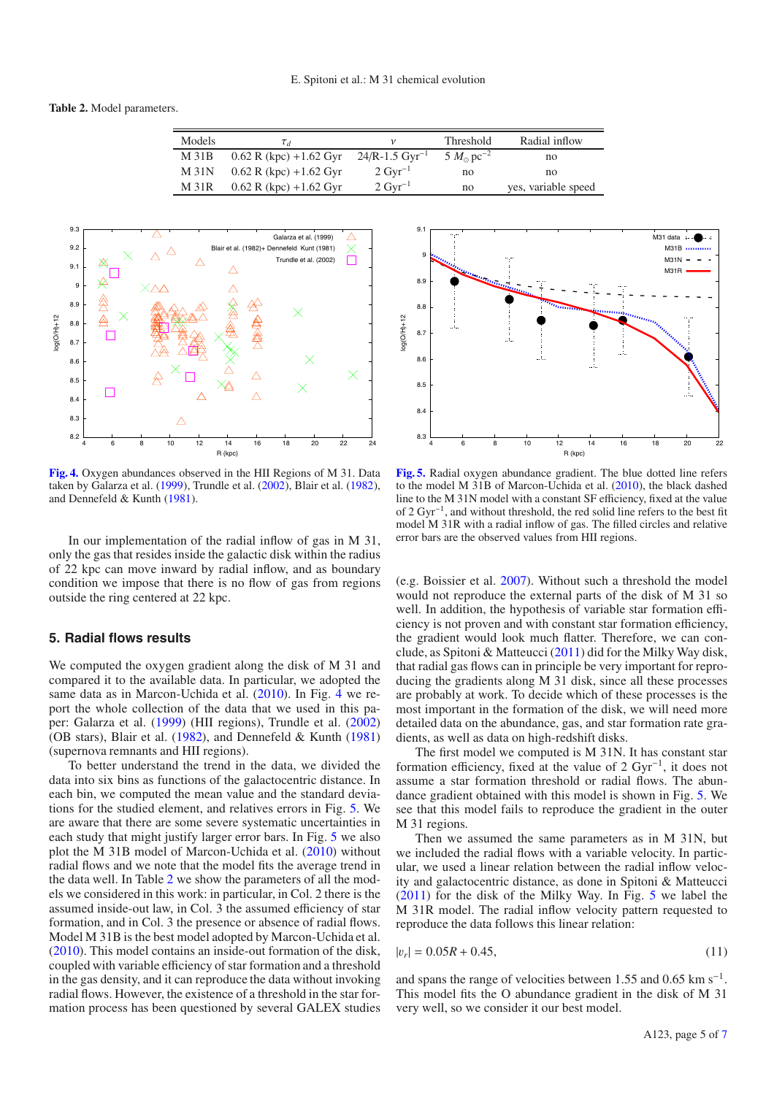<span id="page-4-2"></span>**Table 2.** Model parameters.

| Models     | $\tau_d$                 |                       | Threshold                      | Radial inflow       |
|------------|--------------------------|-----------------------|--------------------------------|---------------------|
| $M$ 31B    | $0.62$ R (kpc) +1.62 Gyr | $24/R - 1.5 Gyr^{-1}$ | 5 $M_{\odot}$ pc <sup>-2</sup> | no                  |
| $M$ 31 $N$ | $0.62$ R (kpc) +1.62 Gyr | $2 \mathrm{Gvr}^{-1}$ | no                             | no                  |
| M 31R      | $0.62$ R (kpc) +1.62 Gyr | $2 \mathrm{Gyr}^{-1}$ | no                             | yes, variable speed |

<span id="page-4-0"></span>

**[Fig. 4.](http://dexter.edpsciences.org/applet.php?DOI=10.1051/0004-6361/201220401&pdf_id=4)** Oxygen abundances observed in the HII Regions of M 31. Data taken by Galarza et al. [\(1999\)](#page-6-31), Trundle et al. [\(2002\)](#page-6-32), Blair et al. [\(1982\)](#page-6-33), and Dennefeld & Kunth [\(1981\)](#page-6-34).

In our implementation of the radial inflow of gas in M 31, only the gas that resides inside the galactic disk within the radius of 22 kpc can move inward by radial inflow, and as boundary condition we impose that there is no flow of gas from regions outside the ring centered at 22 kpc.

# **5. Radial flows results**

We computed the oxygen gradient along the disk of M 31 and compared it to the available data. In particular, we adopted the same data as in Marcon-Uchida et al. [\(2010\)](#page-6-11). In Fig. [4](#page-4-0) we report the whole collection of the data that we used in this paper: Galarza et al. [\(1999\)](#page-6-31) (HII regions), Trundle et al. [\(2002\)](#page-6-32) (OB stars), Blair et al. [\(1982\)](#page-6-33), and Dennefeld & Kunth [\(1981\)](#page-6-34) (supernova remnants and HII regions).

To better understand the trend in the data, we divided the data into six bins as functions of the galactocentric distance. In each bin, we computed the mean value and the standard deviations for the studied element, and relatives errors in Fig. [5.](#page-4-1) We are aware that there are some severe systematic uncertainties in each study that might justify larger error bars. In Fig. [5](#page-4-1) we also plot the M 31B model of Marcon-Uchida et al. [\(2010\)](#page-6-11) without radial flows and we note that the model fits the average trend in the data well. In Table [2](#page-4-2) we show the parameters of all the models we considered in this work: in particular, in Col. 2 there is the assumed inside-out law, in Col. 3 the assumed efficiency of star formation, and in Col. 3 the presence or absence of radial flows. Model M 31B is the best model adopted by Marcon-Uchida et al. [\(2010\)](#page-6-11). This model contains an inside-out formation of the disk, coupled with variable efficiency of star formation and a threshold in the gas density, and it can reproduce the data without invoking radial flows. However, the existence of a threshold in the star formation process has been questioned by several GALEX studies

<span id="page-4-1"></span>

**[Fig. 5.](http://dexter.edpsciences.org/applet.php?DOI=10.1051/0004-6361/201220401&pdf_id=5)** Radial oxygen abundance gradient. The blue dotted line refers to the model M 31B of Marcon-Uchida et al. [\(2010\)](#page-6-11), the black dashed line to the M 31N model with a constant SF efficiency, fixed at the value of 2 Gyr−1, and without threshold, the red solid line refers to the best fit model M 31R with a radial inflow of gas. The filled circles and relative error bars are the observed values from HII regions.

(e.g. Boissier et al. [2007\)](#page-6-35). Without such a threshold the model would not reproduce the external parts of the disk of M 31 so well. In addition, the hypothesis of variable star formation efficiency is not proven and with constant star formation efficiency, the gradient would look much flatter. Therefore, we can conclude, as Spitoni & Matteucci [\(2011\)](#page-6-8) did for the Milky Way disk, that radial gas flows can in principle be very important for reproducing the gradients along M 31 disk, since all these processes are probably at work. To decide which of these processes is the most important in the formation of the disk, we will need more detailed data on the abundance, gas, and star formation rate gradients, as well as data on high-redshift disks.

The first model we computed is M 31N. It has constant star formation efficiency, fixed at the value of 2 Gyr−1, it does not assume a star formation threshold or radial flows. The abundance gradient obtained with this model is shown in Fig. [5.](#page-4-1) We see that this model fails to reproduce the gradient in the outer M 31 regions.

Then we assumed the same parameters as in M 31N, but we included the radial flows with a variable velocity. In particular, we used a linear relation between the radial inflow velocity and galactocentric distance, as done in Spitoni & Matteucci [\(2011\)](#page-6-8) for the disk of the Milky Way. In Fig. [5](#page-4-1) we label the M 31R model. The radial inflow velocity pattern requested to reproduce the data follows this linear relation:

$$
|v_r| = 0.05R + 0.45,\tag{11}
$$

and spans the range of velocities between 1.55 and 0.65 km  $s^{-1}$ . This model fits the O abundance gradient in the disk of M 31 very well, so we consider it our best model.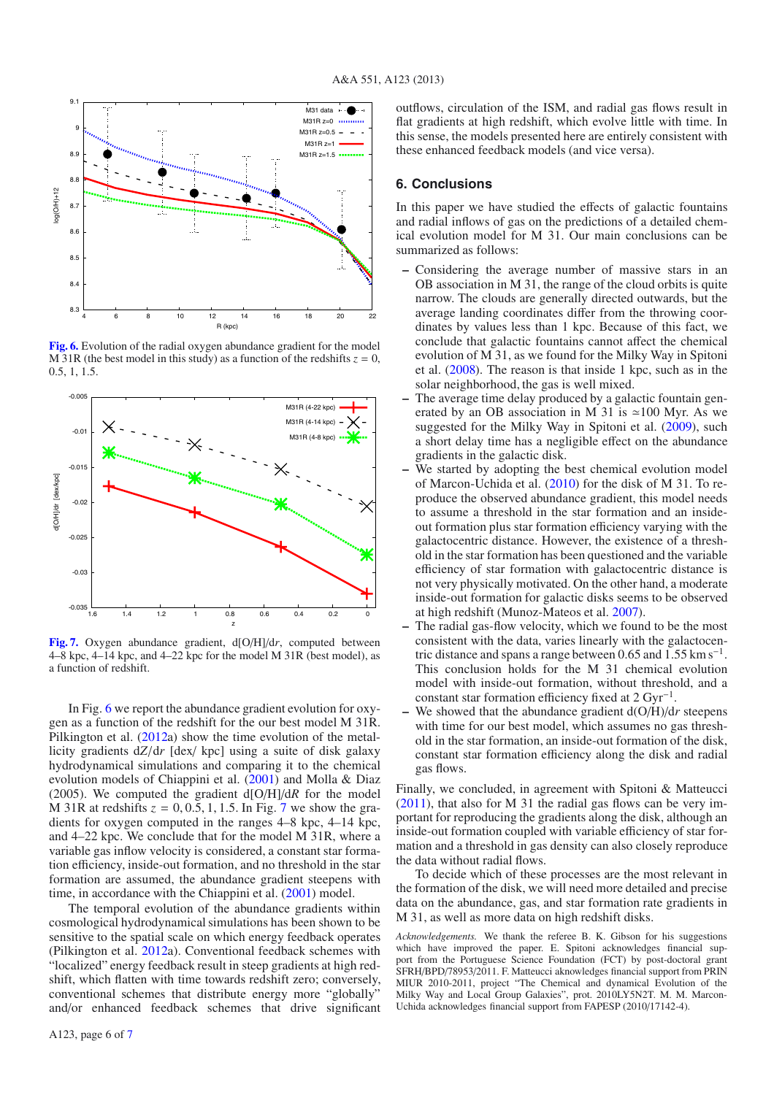<span id="page-5-0"></span>

**[Fig. 6.](http://dexter.edpsciences.org/applet.php?DOI=10.1051/0004-6361/201220401&pdf_id=6)** Evolution of the radial oxygen abundance gradient for the model M 31R (the best model in this study) as a function of the redshifts  $z = 0$ , 0.5, 1, 1.5.

<span id="page-5-1"></span>

**[Fig. 7.](http://dexter.edpsciences.org/applet.php?DOI=10.1051/0004-6361/201220401&pdf_id=7)** Oxygen abundance gradient, d[O/H]/d*r*, computed between 4–8 kpc, 4–14 kpc, and 4–22 kpc for the model M 31R (best model), as a function of redshift.

In Fig. [6](#page-5-0) we report the abundance gradient evolution for oxygen as a function of the redshift for the our best model M 31R. Pilkington et al. [\(2012a](#page-6-36)) show the time evolution of the metallicity gradients d*Z*/d*r* [dex/ kpc] using a suite of disk galaxy hydrodynamical simulations and comparing it to the chemical evolution models of Chiappini et al. [\(2001\)](#page-6-37) and Molla & Diaz (2005). We computed the gradient d[O/H]/d*R* for the model M 31R at redshifts  $z = 0, 0.5, 1, 1.5$ . In Fig. [7](#page-5-1) we show the gradients for oxygen computed in the ranges 4–8 kpc, 4–14 kpc, and 4–22 kpc. We conclude that for the model M 31R, where a variable gas inflow velocity is considered, a constant star formation efficiency, inside-out formation, and no threshold in the star formation are assumed, the abundance gradient steepens with time, in accordance with the Chiappini et al. [\(2001\)](#page-6-37) model.

The temporal evolution of the abundance gradients within cosmological hydrodynamical simulations has been shown to be sensitive to the spatial scale on which energy feedback operates (Pilkington et al. [2012a](#page-6-36)). Conventional feedback schemes with "localized" energy feedback result in steep gradients at high redshift, which flatten with time towards redshift zero; conversely, conventional schemes that distribute energy more "globally" and/or enhanced feedback schemes that drive significant

## **6. Conclusions**

In this paper we have studied the effects of galactic fountains and radial inflows of gas on the predictions of a detailed chemical evolution model for M 31. Our main conclusions can be summarized as follows:

- **–** Considering the average number of massive stars in an OB association in M 31, the range of the cloud orbits is quite narrow. The clouds are generally directed outwards, but the average landing coordinates differ from the throwing coordinates by values less than 1 kpc. Because of this fact, we conclude that galactic fountains cannot affect the chemical evolution of M 31, as we found for the Milky Way in Spitoni et al. [\(2008\)](#page-6-1). The reason is that inside 1 kpc, such as in the solar neighborhood, the gas is well mixed.
- The average time delay produced by a galactic fountain generated by an OB association in M 31 is  $\approx 100$  Myr. As we suggested for the Milky Way in Spitoni et al. [\(2009\)](#page-6-2), such a short delay time has a negligible effect on the abundance gradients in the galactic disk.
- We started by adopting the best chemical evolution model of Marcon-Uchida et al. [\(2010\)](#page-6-11) for the disk of M 31. To reproduce the observed abundance gradient, this model needs to assume a threshold in the star formation and an insideout formation plus star formation efficiency varying with the galactocentric distance. However, the existence of a threshold in the star formation has been questioned and the variable efficiency of star formation with galactocentric distance is not very physically motivated. On the other hand, a moderate inside-out formation for galactic disks seems to be observed at high redshift (Munoz-Mateos et al. [2007\)](#page-6-10).
- **–** The radial gas-flow velocity, which we found to be the most consistent with the data, varies linearly with the galactocentric distance and spans a range between 0.65 and  $1.55 \text{ km s}^{-1}$ . This conclusion holds for the M 31 chemical evolution model with inside-out formation, without threshold, and a constant star formation efficiency fixed at  $2 \,\text{Gyr}^{-1}$ .
- **–** We showed that the abundance gradient d(O/H)/d*r* steepens with time for our best model, which assumes no gas threshold in the star formation, an inside-out formation of the disk, constant star formation efficiency along the disk and radial gas flows.

Finally, we concluded, in agreement with Spitoni & Matteucci [\(2011\)](#page-6-8), that also for M 31 the radial gas flows can be very important for reproducing the gradients along the disk, although an inside-out formation coupled with variable efficiency of star formation and a threshold in gas density can also closely reproduce the data without radial flows.

To decide which of these processes are the most relevant in the formation of the disk, we will need more detailed and precise data on the abundance, gas, and star formation rate gradients in M 31, as well as more data on high redshift disks.

*Acknowledgements.* We thank the referee B. K. Gibson for his suggestions which have improved the paper. E. Spitoni acknowledges financial support from the Portuguese Science Foundation (FCT) by post-doctoral grant SFRH/BPD/78953/2011. F. Matteucci aknowledges financial support from PRIN MIUR 2010-2011, project "The Chemical and dynamical Evolution of the Milky Way and Local Group Galaxies", prot. 2010LY5N2T. M. M. Marcon-Uchida acknowledges financial support from FAPESP (2010/17142-4).